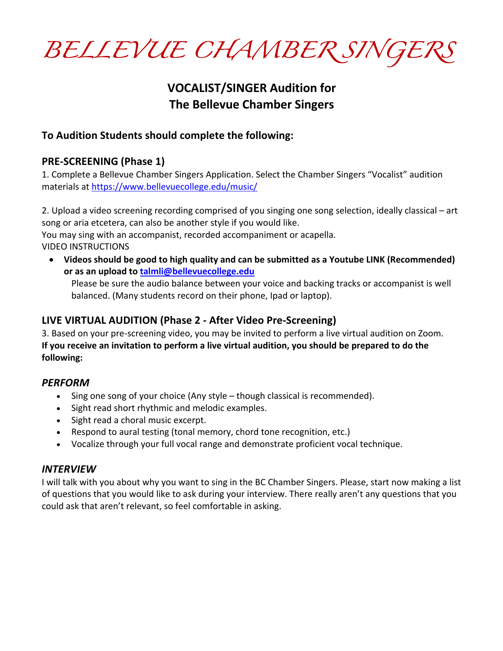*BELLEVUE CHAMBER SINGERS* 

# **VOCALIST/SINGER Audition for The Bellevue Chamber Singers**

### **To Audition Students should complete the following:**

### **PRE-SCREENING (Phase 1)**

1. Complete a Bellevue Chamber Singers Application. Select the Chamber Singers "Vocalist" audition materials at https://www.bellevuecollege.edu/music/

2. Upload a video screening recording comprised of you singing one song selection, ideally classical – art song or aria etcetera, can also be another style if you would like.

You may sing with an accompanist, recorded accompaniment or acapella. VIDEO INSTRUCTIONS

• **Videos should be good to high quality and can be submitted as a Youtube LINK (Recommended) or as an upload to talmli@bellevuecollege.edu**

Please be sure the audio balance between your voice and backing tracks or accompanist is well balanced. (Many students record on their phone, Ipad or laptop).

### **LIVE VIRTUAL AUDITION (Phase 2 - After Video Pre-Screening)**

3. Based on your pre-screening video, you may be invited to perform a live virtual audition on Zoom. **If you receive an invitation to perform a live virtual audition, you should be prepared to do the following:**

### *PERFORM*

- Sing one song of your choice (Any style though classical is recommended).
- Sight read short rhythmic and melodic examples.
- Sight read a choral music excerpt.
- Respond to aural testing (tonal memory, chord tone recognition, etc.)
- Vocalize through your full vocal range and demonstrate proficient vocal technique.

### *INTERVIEW*

I will talk with you about why you want to sing in the BC Chamber Singers. Please, start now making a list of questions that you would like to ask during your interview. There really aren't any questions that you could ask that aren't relevant, so feel comfortable in asking.